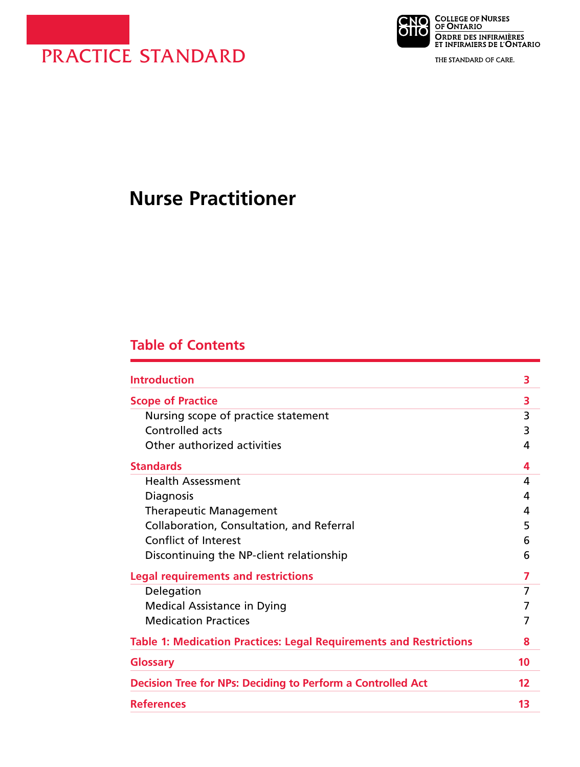

**CINO** COLLEGE OF NURSES<br>OIIO OF ONTARIO ORDRE DES INFIRMIÈRES<br>ET INFIRMIERS DE L'ONTARIO

THE STANDARD OF CARE.

# **Nurse Practitioner**

# **Table of Contents**

| <b>Introduction</b>                                                       | 3  |
|---------------------------------------------------------------------------|----|
| <b>Scope of Practice</b>                                                  | 3  |
| Nursing scope of practice statement                                       | 3  |
| Controlled acts                                                           | 3  |
| Other authorized activities                                               | 4  |
| <b>Standards</b>                                                          | 4  |
| <b>Health Assessment</b>                                                  | 4  |
| Diagnosis                                                                 | 4  |
| <b>Therapeutic Management</b>                                             | 4  |
| Collaboration, Consultation, and Referral                                 | 5  |
| Conflict of Interest                                                      | 6  |
| Discontinuing the NP-client relationship                                  | 6  |
| <b>Legal requirements and restrictions</b>                                | 7  |
| Delegation                                                                | 7  |
| Medical Assistance in Dying                                               |    |
| <b>Medication Practices</b>                                               |    |
| <b>Table 1: Medication Practices: Legal Requirements and Restrictions</b> | 8  |
| <b>Glossary</b>                                                           | 10 |
| <b>Decision Tree for NPs: Deciding to Perform a Controlled Act</b>        | 12 |
| <b>References</b>                                                         | 13 |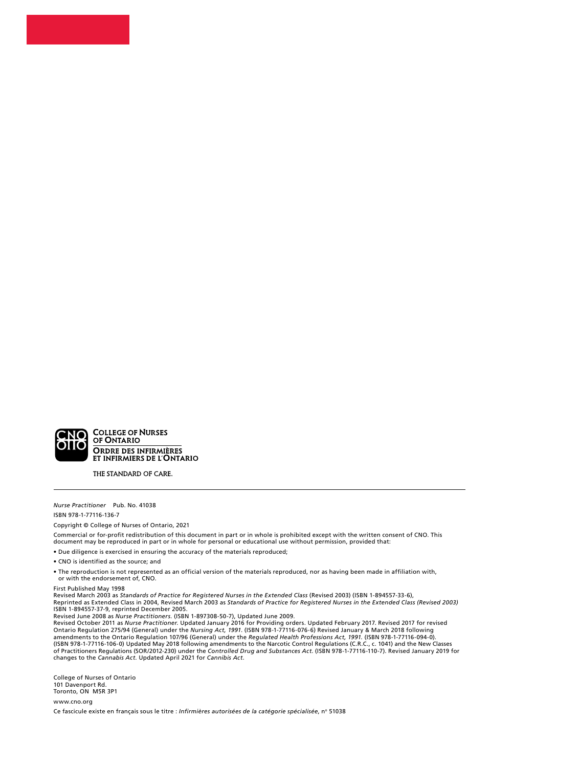

THE STANDARD OF CARE.

*Nurse Practitioner* Pub. No. 41038

ISBN 978-1-77116-136-7

Copyright © College of Nurses of Ontario, 2021

Commercial or for-profit redistribution of this document in part or in whole is prohibited except with the written consent of CNO. This document may be reproduced in part or in whole for personal or educational use without permission, provided that:

• Due diligence is exercised in ensuring the accuracy of the materials reproduced;

• CNO is identified as the source; and

• The reproduction is not represented as an official version of the materials reproduced, nor as having been made in affiliation with, or with the endorsement of, CNO.

#### First Published May 1998

Revised March 2003 as Standards of Practice for Registered Nurses in the Extended Class (Revised 2003) (ISBN 1-894557-33-6),<br>Reprinted as Extended Class in 2004, Revised March 2003 as Standards of Practice for Registered N ISBN 1-894557-37-9, reprinted December 2005.

Revised June 2008 as *Nurse Practitioners*. (ISBN 1-897308-50-7), Updated June 2009.

Revised October 2011 as *Nurse Practitioner*. Updated January 2016 for Providing orders. Updated February 2017. Revised 2017 for revised Ontario Regulation 275/94 (General) under the *Nursing Act, 1991*. (ISBN 978-1-77116-076-6) Revised January & March 2018 following<br>amendments to the Ontario Regulation 107/96 (General) under the *Regulated Health Professio* (ISBN 978-1-77116-106-0) Updated May 2018 following amendments to the Narcotic Control Regulations (C.R.C., c. 1041) and the New Classes of Practitioners Regulations (SOR/2012-230) under the Controlled Drug and Substances Act. (ISBN 978-1-77116-110-7). Revised January 2019 for<br>changes to the Cannabis Act. Updated April 2021 for Cannibis Act.

College of Nurses of Ontario 101 Davenport Rd. Toronto, ON M5R 3P1

[www.cno.org](http://www.cno.org)

Ce fascicule existe en français sous le titre : *Infirmières autorisées de la catégorie spécialisée*, n° 51038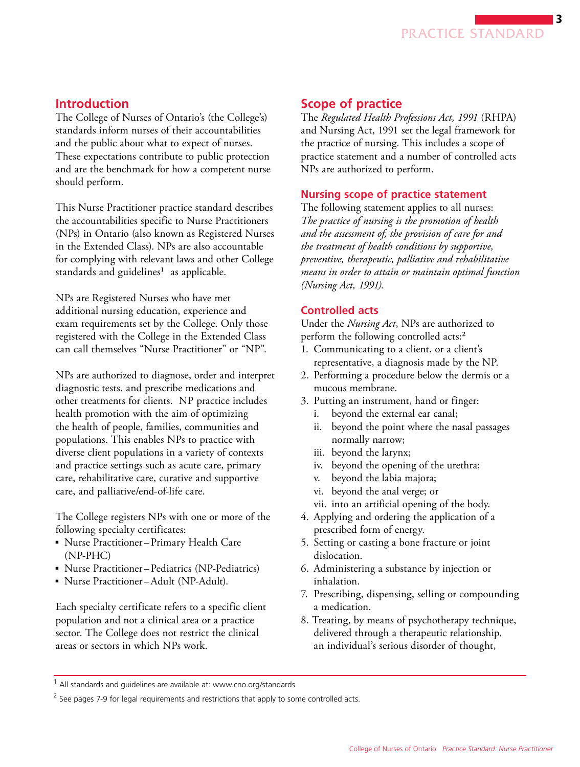

### <span id="page-2-0"></span>**Introduction**

The College of Nurses of Ontario's (the College's) standards inform nurses of their accountabilities and the public about what to expect of nurses. These expectations contribute to public protection and are the benchmark for how a competent nurse should perform.

This Nurse Practitioner practice standard describes the accountabilities specific to Nurse Practitioners (NPs) in Ontario (also known as Registered Nurses in the Extended Class). NPs are also accountable for complying with relevant laws and other College standards and guidelines<sup>1</sup> as applicable.

NPs are Registered Nurses who have met additional nursing education, experience and exam requirements set by the College. Only those registered with the College in the Extended Class can call themselves "Nurse Practitioner" or "NP".

NPs are authorized to diagnose, order and interpret diagnostic tests, and prescribe medications and other treatments for clients. NP practice includes health promotion with the aim of optimizing the health of people, families, communities and populations. This enables NPs to practice with diverse client populations in a variety of contexts and practice settings such as acute care, primary care, rehabilitative care, curative and supportive care, and palliative/end-of-life care.

The College registers NPs with one or more of the following specialty certificates:

- Nurse Practitioner –Primary Health Care (NP-PHC)
- Nurse Practitioner Pediatrics (NP-Pediatrics)
- Nurse Practitioner Adult (NP-Adult).

Each specialty certificate refers to a specific client population and not a clinical area or a practice sector. The College does not restrict the clinical areas or sectors in which NPs work.

### **Scope of practice**

The *Regulated Health Professions Act, 1991* (RHPA) and Nursing Act, 1991 set the legal framework for the practice of nursing. This includes a scope of practice statement and a number of controlled acts NPs are authorized to perform.

#### **Nursing scope of practice statement**

The following statement applies to all nurses: *The practice of nursing is the promotion of health and the assessment of, the provision of care for and the treatment of health conditions by supportive, preventive, therapeutic, palliative and rehabilitative means in order to attain or maintain optimal function (Nursing Act, 1991).* 

#### **Controlled acts**

Under the *Nursing Act*, NPs are authorized to perform the following controlled acts:<sup>2</sup>

- 1. Communicating to a client, or a client's representative, a diagnosis made by the NP.
- 2. Performing a procedure below the dermis or a mucous membrane.
- 3. Putting an instrument, hand or finger:
	- i. beyond the external ear canal;
	- ii. beyond the point where the nasal passages normally narrow;
	- iii. beyond the larynx;
	- iv. beyond the opening of the urethra;
	- v. beyond the labia majora;
	- vi. beyond the anal verge; or
	- vii. into an artificial opening of the body.
- 4. Applying and ordering the application of a prescribed form of energy.
- 5. Setting or casting a bone fracture or joint dislocation.
- 6. Administering a substance by injection or inhalation.
- 7. Prescribing, dispensing, selling or compounding a medication.
- 8. Treating, by means of psychotherapy technique, delivered through a therapeutic relationship, an individual's serious disorder of thought,

<sup>&</sup>lt;sup>1</sup> All standards and guidelines are available at: www.cno.org/standards

 $2$  See pages 7-9 for legal requirements and restrictions that apply to some controlled acts.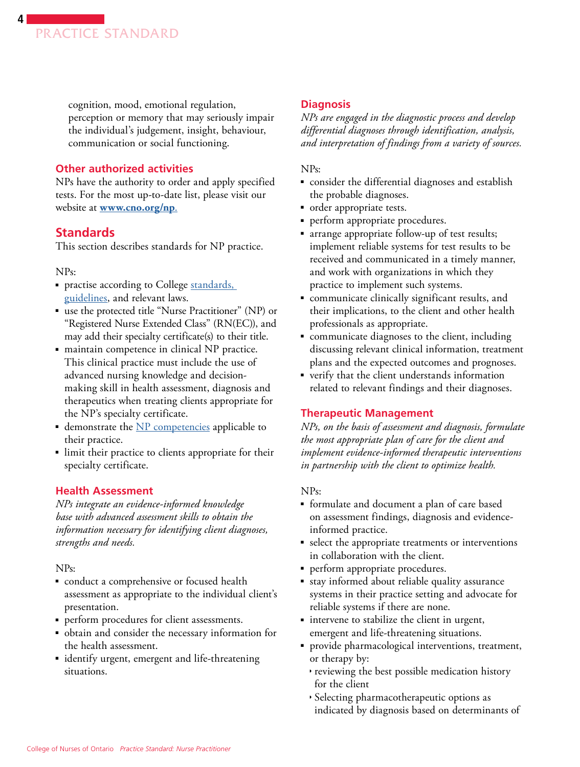<span id="page-3-0"></span>

cognition, mood, emotional regulation, perception or memory that may seriously impair the individual's judgement, insight, behaviour, communication or social functioning.

#### **Other authorized activities**

NPs have the authority to order and apply specified tests. For the most up-to-date list, please visit our website at **[www.cno.org/np](http://www.cno.org/np)**.

### **Standards**

This section describes standards for NP practice.

#### NPs:

- **•** practise according to College standards, [guidelines](http://www.cno.org/en/learn-about-standards-guidelines/standards-and-guidelines/), and relevant laws.
- use the protected title "Nurse Practitioner" (NP) or "Registered Nurse Extended Class" (RN(EC)), and may add their specialty certificate(s) to their title.
- maintain competence in clinical NP practice. This clinical practice must include the use of advanced nursing knowledge and decisionmaking skill in health assessment, diagnosis and therapeutics when treating clients appropriate for the NP's specialty certificate.
- demonstrate the <u>NP competencies</u> applicable to their practice.
- limit their practice to clients appropriate for their specialty certificate.

### **Health Assessment**

*NPs integrate an evidence-informed knowledge base with advanced assessment skills to obtain the information necessary for identifying client diagnoses, strengths and needs.* 

#### NPs:

- conduct a comprehensive or focused health assessment as appropriate to the individual client's presentation.
- perform procedures for client assessments.
- obtain and consider the necessary information for the health assessment.
- identify urgent, emergent and life-threatening situations.

#### **Diagnosis**

*NPs are engaged in the diagnostic process and develop differential diagnoses through identification, analysis, and interpretation of findings from a variety of sources.* 

#### NPs:

- ■ consider the differential diagnoses and establish the probable diagnoses.
- order appropriate tests.
- perform appropriate procedures.
- arrange appropriate follow-up of test results; implement reliable systems for test results to be received and communicated in a timely manner, and work with organizations in which they practice to implement such systems.
- ■ communicate clinically significant results, and their implications, to the client and other health professionals as appropriate.
- communicate diagnoses to the client, including discussing relevant clinical information, treatment plans and the expected outcomes and prognoses.
- ■ verify that the client understands information related to relevant findings and their diagnoses.

### **Therapeutic Management**

*NPs, on the basis of assessment and diagnosis, formulate the most appropriate plan of care for the client and implement evidence-informed therapeutic interventions in partnership with the client to optimize health.* 

#### NPs:

- formulate and document a plan of care based on assessment findings, diagnosis and evidenceinformed practice.
- select the appropriate treatments or interventions in collaboration with the client.
- perform appropriate procedures.
- stay informed about reliable quality assurance systems in their practice setting and advocate for reliable systems if there are none.
- intervene to stabilize the client in urgent, emergent and life-threatening situations.
- ■ provide pharmacological interventions, treatment, or therapy by:
	- ◗ reviewing the best possible medication history for the client
	- ◗ Selecting pharmacotherapeutic options as indicated by diagnosis based on determinants of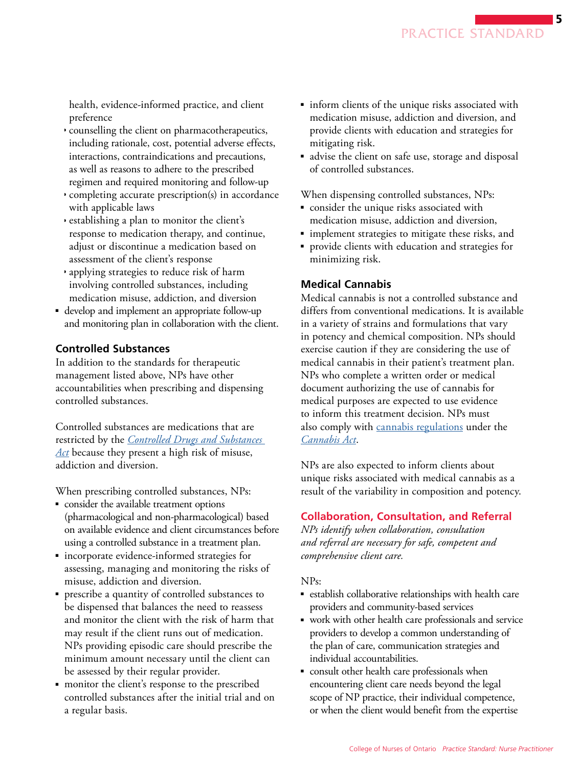5

<span id="page-4-0"></span>health, evidence-informed practice, and client preference

- ◗ counselling the client on pharmacotherapeutics, including rationale, cost, potential adverse effects, interactions, contraindications and precautions, as well as reasons to adhere to the prescribed regimen and required monitoring and follow-up
- ◗ completing accurate prescription(s) in accordance with applicable laws
- ' establishing a plan to monitor the client's response to medication therapy, and continue, adjust or discontinue a medication based on assessment of the client's response
- ◗ applying strategies to reduce risk of harm involving controlled substances, including medication misuse, addiction, and diversion
- develop and implement an appropriate follow-up and monitoring plan in collaboration with the client.

### **Controlled Substances**

In addition to the standards for therapeutic management listed above, NPs have other accountabilities when prescribing and dispensing controlled substances.

Controlled substances are medications that are restricted by the *[Controlled Drugs and Substances](http://laws-lois.justice.gc.ca/eng/acts/C-38.8/)  [Act](http://laws-lois.justice.gc.ca/eng/acts/C-38.8/)* because they present a high risk of misuse, addiction and diversion.

When prescribing controlled substances, NPs:

- consider the available treatment options (pharmacological and non-pharmacological) based on available evidence and client circumstances before using a controlled substance in a treatment plan.
- incorporate evidence-informed strategies for assessing, managing and monitoring the risks of misuse, addiction and diversion.
- prescribe a quantity of controlled substances to be dispensed that balances the need to reassess and monitor the client with the risk of harm that may result if the client runs out of medication. NPs providing episodic care should prescribe the minimum amount necessary until the client can be assessed by their regular provider.
- monitor the client's response to the prescribed controlled substances after the initial trial and on a regular basis.
- inform clients of the unique risks associated with medication misuse, addiction and diversion, and provide clients with education and strategies for mitigating risk.
- advise the client on safe use, storage and disposal of controlled substances.

When dispensing controlled substances, NPs:

- consider the unique risks associated with medication misuse, addiction and diversion,
- implement strategies to mitigate these risks, and
- provide clients with education and strategies for minimizing risk.

### **Medical Cannabis**

Medical cannabis is not a controlled substance and differs from conventional medications. It is available in a variety of strains and formulations that vary in potency and chemical composition. NPs should exercise caution if they are considering the use of medical cannabis in their patient's treatment plan. NPs who complete a written order or medical document authorizing the use of cannabis for medical purposes are expected to use evidence to inform this treatment decision. NPs must also comply with [cannabis regulations](https://laws-lois.justice.gc.ca/eng/regulations/SOR-2018-144/index.html) under the *[Cannabis Act](https://laws-lois.justice.gc.ca/eng/acts/C-24.5/)*.

NPs are also expected to inform clients about unique risks associated with medical cannabis as a result of the variability in composition and potency.

### **Collaboration, Consultation, and Referral**

*NPs identify when collaboration, consultation and referral are necessary for safe, competent and comprehensive client care.* 

#### NPs:

- establish collaborative relationships with health care providers and community-based services
- work with other health care professionals and service providers to develop a common understanding of the plan of care, communication strategies and individual accountabilities.
- consult other health care professionals when encountering client care needs beyond the legal scope of NP practice, their individual competence, or when the client would benefit from the expertise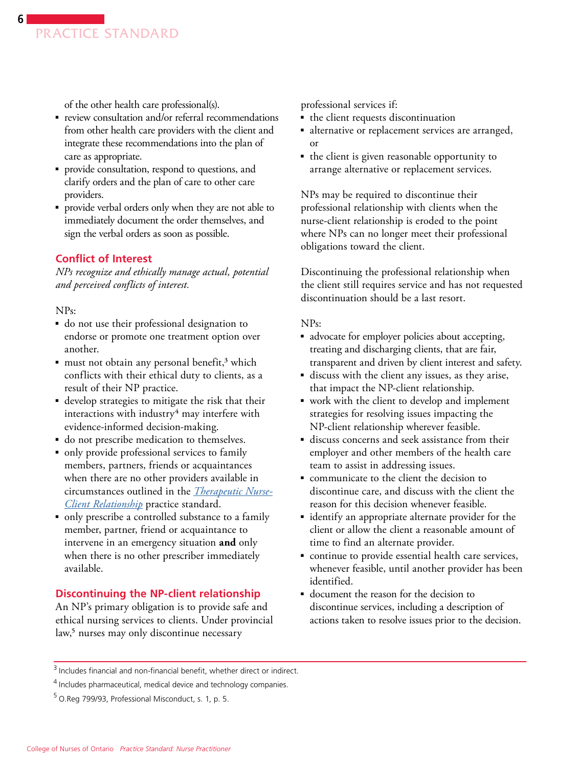<span id="page-5-0"></span>of the other health care professional(s).

- review consultation and/or referral recommendations from other health care providers with the client and integrate these recommendations into the plan of care as appropriate.
- provide consultation, respond to questions, and clarify orders and the plan of care to other care providers.
- provide verbal orders only when they are not able to immediately document the order themselves, and sign the verbal orders as soon as possible.

### **Conflict of Interest**

*NPs recognize and ethically manage actual, potential and perceived conflicts of interest.* 

#### NPs:

- do not use their professional designation to endorse or promote one treatment option over another.
- $\blacksquare$  must not obtain any personal benefit,<sup>3</sup> which conflicts with their ethical duty to clients, as a result of their NP practice.
- develop strategies to mitigate the risk that their interactions with industry<sup>4</sup> may interfere with evidence-informed decision-making.
- do not prescribe medication to themselves.
- only provide professional services to family members, partners, friends or acquaintances when there are no other providers available in circumstances outlined in the *[Therapeutic Nurse-](http://www.cno.org/globalassets/docs/prac/41033_therapeutic.pdf)[Client Relationship](http://www.cno.org/globalassets/docs/prac/41033_therapeutic.pdf)* practice standard.
- only prescribe a controlled substance to a family member, partner, friend or acquaintance to intervene in an emergency situation **and** only when there is no other prescriber immediately available.

#### **Discontinuing the NP-client relationship**

An NP's primary obligation is to provide safe and ethical nursing services to clients. Under provincial law,<sup>5</sup> nurses may only discontinue necessary

professional services if:

- the client requests discontinuation
- alternative or replacement services are arranged, or
- the client is given reasonable opportunity to arrange alternative or replacement services.

NPs may be required to discontinue their professional relationship with clients when the nurse-client relationship is eroded to the point where NPs can no longer meet their professional obligations toward the client.

Discontinuing the professional relationship when the client still requires service and has not requested discontinuation should be a last resort.

#### NPs:

- advocate for employer policies about accepting, treating and discharging clients, that are fair, transparent and driven by client interest and safety.
- discuss with the client any issues, as they arise, that impact the NP-client relationship.
- work with the client to develop and implement strategies for resolving issues impacting the NP-client relationship wherever feasible.
- discuss concerns and seek assistance from their employer and other members of the health care team to assist in addressing issues.
- communicate to the client the decision to discontinue care, and discuss with the client the reason for this decision whenever feasible.
- identify an appropriate alternate provider for the client or allow the client a reasonable amount of time to find an alternate provider.
- continue to provide essential health care services, whenever feasible, until another provider has been identified.
- document the reason for the decision to discontinue services, including a description of actions taken to resolve issues prior to the decision.

 $3$  Includes financial and non-financial benefit, whether direct or indirect.

<sup>4</sup> Includes pharmaceutical, medical device and technology companies.

<sup>5</sup> O.Reg 799/93, Professional Misconduct, s. 1, p. 5.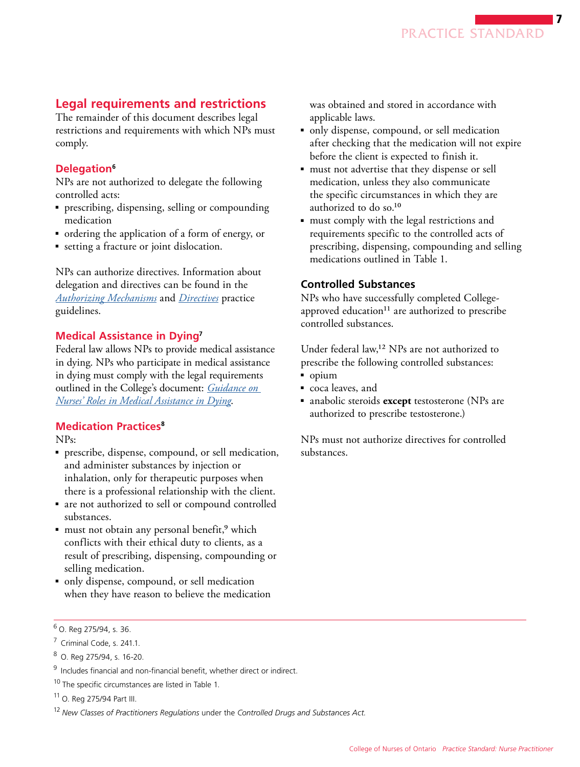7

## <span id="page-6-0"></span>**Legal requirements and restrictions**

The remainder of this document describes legal restrictions and requirements with which NPs must comply.

### **Delegation**<sup>6</sup>

NPs are not authorized to delegate the following controlled acts:

- prescribing, dispensing, selling or compounding medication
- ordering the application of a form of energy, or
- setting a fracture or joint dislocation.

NPs can authorize directives. Information about delegation and directives can be found in the *[Authorizing Mechanisms](http://www.cno.org/globalassets/docs/prac/41075_authorizingmech.pdf)* and *[Directives](http://cno.org/globalassets/docs/prac/41019_medicaldirectives.pdf)* practice guidelines.

### **Medical Assistance in Dying7**

Federal law allows NPs to provide medical assistance in dying. NPs who participate in medical assistance in dying must comply with the legal requirements outlined in the College's document: *[Guidance on](http://cno.org/globalassets/docs/prac/41056-guidance-on-nurses-roles-in-maid.pdf)  [Nurses' Roles in Medical Assistance in Dying](http://cno.org/globalassets/docs/prac/41056-guidance-on-nurses-roles-in-maid.pdf)*.

### **Medication Practices8**

NPs:

- prescribe, dispense, compound, or sell medication, and administer substances by injection or inhalation, only for therapeutic purposes when there is a professional relationship with the client.
- are not authorized to sell or compound controlled substances.
- $\blacksquare$  must not obtain any personal benefit,<sup>9</sup> which conflicts with their ethical duty to clients, as a result of prescribing, dispensing, compounding or selling medication.
- only dispense, compound, or sell medication when they have reason to believe the medication

was obtained and stored in accordance with applicable laws.

- only dispense, compound, or sell medication after checking that the medication will not expire before the client is expected to finish it.
- must not advertise that they dispense or sell medication, unless they also communicate the specific circumstances in which they are authorized to do so.10
- must comply with the legal restrictions and requirements specific to the controlled acts of prescribing, dispensing, compounding and selling medications outlined in Table 1.

### **Controlled Substances**

controlled substances. NPs who have successfully completed Collegeapproved education $11$  are authorized to prescribe

Under federal law,<sup>12</sup> NPs are not authorized to prescribe the following controlled substances:

- opium
- coca leaves, and
- anabolic steroids **except** testosterone (NPs are authorized to prescribe testosterone.)

NPs must not authorize directives for controlled substances.

<sup>6</sup> O. Reg 275/94, s. 36.

<sup>7</sup> Criminal Code, s. 241.1.

<sup>8</sup> O. Reg 275/94, s. 16-20.

 $9$  Includes financial and non-financial benefit, whether direct or indirect.

<sup>&</sup>lt;sup>10</sup> The specific circumstances are listed in Table 1.

<sup>11</sup> O. Reg 275/94 Part III.

<sup>12</sup>*New Classes of Practitioners Regulations* under the *Controlled Drugs and Substances Act.*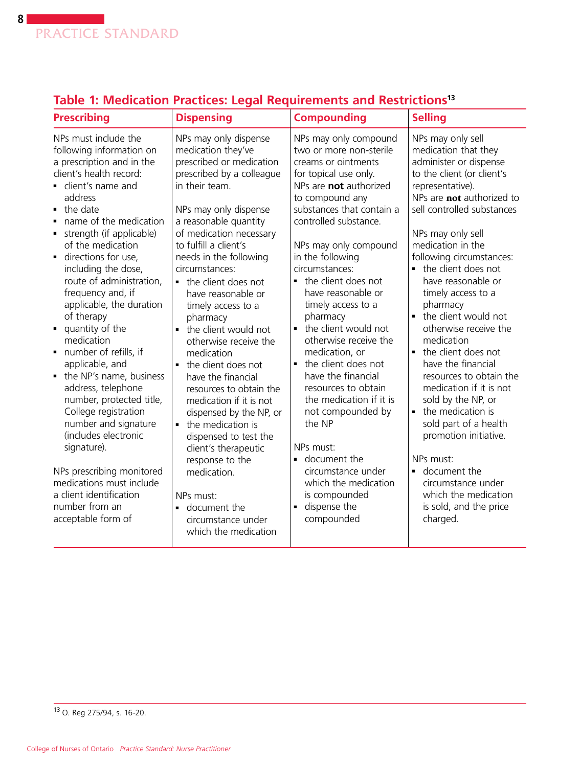| <b>Prescribing</b>                                                                                                                                                                                                                                                                                                                                                                                                                                                                                                                                                                                                                                                                                                                                                                                                                                                     | <b>Dispensing</b>                                                                                                                                                                                                                                                                                                                                                                                                                                                                                                                                                                                                                                                                                                                                 | <b>Compounding</b>                                                                                                                                                                                                                                                                                                                                                                                                                                                                                                                                                                                                                                                                               | <b>Selling</b>                                                                                                                                                                                                                                                                                                                                                                                                                                                                                                                                                                                                                                                                                                                                  |
|------------------------------------------------------------------------------------------------------------------------------------------------------------------------------------------------------------------------------------------------------------------------------------------------------------------------------------------------------------------------------------------------------------------------------------------------------------------------------------------------------------------------------------------------------------------------------------------------------------------------------------------------------------------------------------------------------------------------------------------------------------------------------------------------------------------------------------------------------------------------|---------------------------------------------------------------------------------------------------------------------------------------------------------------------------------------------------------------------------------------------------------------------------------------------------------------------------------------------------------------------------------------------------------------------------------------------------------------------------------------------------------------------------------------------------------------------------------------------------------------------------------------------------------------------------------------------------------------------------------------------------|--------------------------------------------------------------------------------------------------------------------------------------------------------------------------------------------------------------------------------------------------------------------------------------------------------------------------------------------------------------------------------------------------------------------------------------------------------------------------------------------------------------------------------------------------------------------------------------------------------------------------------------------------------------------------------------------------|-------------------------------------------------------------------------------------------------------------------------------------------------------------------------------------------------------------------------------------------------------------------------------------------------------------------------------------------------------------------------------------------------------------------------------------------------------------------------------------------------------------------------------------------------------------------------------------------------------------------------------------------------------------------------------------------------------------------------------------------------|
| NPs must include the<br>following information on<br>a prescription and in the<br>client's health record:<br>client's name and<br>address<br>the date<br>$\blacksquare$<br>name of the medication<br>$\blacksquare$<br>strength (if applicable)<br>Ξ<br>of the medication<br>directions for use,<br>$\blacksquare$<br>including the dose,<br>route of administration,<br>frequency and, if<br>applicable, the duration<br>of therapy<br>quantity of the<br>$\blacksquare$<br>medication<br>number of refills, if<br>$\blacksquare$<br>applicable, and<br>the NP's name, business<br>$\blacksquare$<br>address, telephone<br>number, protected title,<br>College registration<br>number and signature<br>(includes electronic<br>signature).<br>NPs prescribing monitored<br>medications must include<br>a client identification<br>number from an<br>acceptable form of | NPs may only dispense<br>medication they've<br>prescribed or medication<br>prescribed by a colleague<br>in their team.<br>NPs may only dispense<br>a reasonable quantity<br>of medication necessary<br>to fulfill a client's<br>needs in the following<br>circumstances:<br>• the client does not<br>have reasonable or<br>timely access to a<br>pharmacy<br>• the client would not<br>otherwise receive the<br>medication<br>• the client does not<br>have the financial<br>resources to obtain the<br>medication if it is not<br>dispensed by the NP, or<br>• the medication is<br>dispensed to test the<br>client's therapeutic<br>response to the<br>medication.<br>NPs must:<br>• document the<br>circumstance under<br>which the medication | NPs may only compound<br>two or more non-sterile<br>creams or ointments<br>for topical use only.<br>NPs are <b>not</b> authorized<br>to compound any<br>substances that contain a<br>controlled substance.<br>NPs may only compound<br>in the following<br>circumstances:<br>• the client does not<br>have reasonable or<br>timely access to a<br>pharmacy<br>• the client would not<br>otherwise receive the<br>medication, or<br>• the client does not<br>have the financial<br>resources to obtain<br>the medication if it is<br>not compounded by<br>the NP<br>NPs must:<br>• document the<br>circumstance under<br>which the medication<br>is compounded<br>dispense the<br>٠<br>compounded | NPs may only sell<br>medication that they<br>administer or dispense<br>to the client (or client's<br>representative).<br>NPs are not authorized to<br>sell controlled substances<br>NPs may only sell<br>medication in the<br>following circumstances:<br>• the client does not<br>have reasonable or<br>timely access to a<br>pharmacy<br>• the client would not<br>otherwise receive the<br>medication<br>• the client does not<br>have the financial<br>resources to obtain the<br>medication if it is not<br>sold by the NP, or<br>$\blacksquare$<br>the medication is<br>sold part of a health<br>promotion initiative.<br>NPs must:<br>• document the<br>circumstance under<br>which the medication<br>is sold, and the price<br>charged. |

# <span id="page-7-0"></span>**Table 1: Medication Practices: Legal Requirements and Restrictions13**

13 O. Reg 275/94, s. 16-20.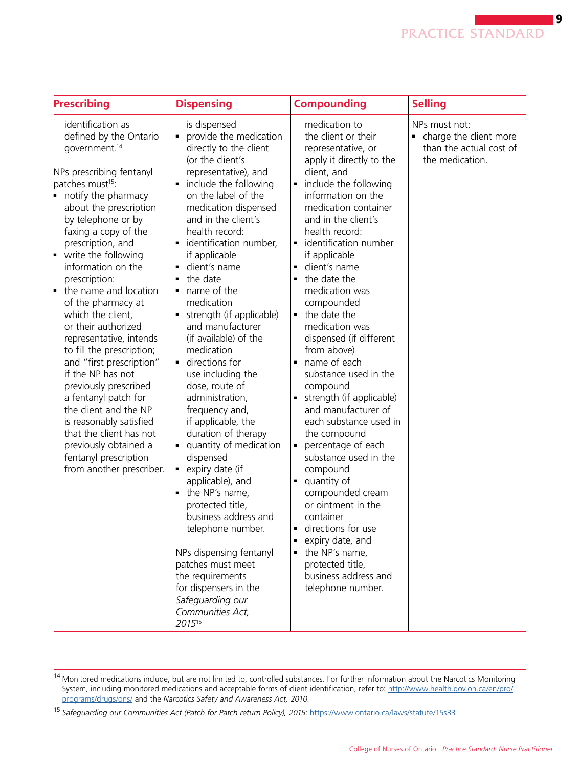

| <b>Prescribing</b>                                                                                                                                                                                                                                                                                                                                                                                                                                                                                                                                                                                                                                                                                                                           | <b>Dispensing</b>                                                                                                                                                                                                                                                                                                                                                                                                                                                                                                                                                                                                                                                                                                                                                                                                                                                                                                                                     | <b>Compounding</b>                                                                                                                                                                                                                                                                                                                                                                                                                                                                                                                                                                                                                                                                                                                                                                                                                                                                                                                                     | <b>Selling</b>                                                                          |
|----------------------------------------------------------------------------------------------------------------------------------------------------------------------------------------------------------------------------------------------------------------------------------------------------------------------------------------------------------------------------------------------------------------------------------------------------------------------------------------------------------------------------------------------------------------------------------------------------------------------------------------------------------------------------------------------------------------------------------------------|-------------------------------------------------------------------------------------------------------------------------------------------------------------------------------------------------------------------------------------------------------------------------------------------------------------------------------------------------------------------------------------------------------------------------------------------------------------------------------------------------------------------------------------------------------------------------------------------------------------------------------------------------------------------------------------------------------------------------------------------------------------------------------------------------------------------------------------------------------------------------------------------------------------------------------------------------------|--------------------------------------------------------------------------------------------------------------------------------------------------------------------------------------------------------------------------------------------------------------------------------------------------------------------------------------------------------------------------------------------------------------------------------------------------------------------------------------------------------------------------------------------------------------------------------------------------------------------------------------------------------------------------------------------------------------------------------------------------------------------------------------------------------------------------------------------------------------------------------------------------------------------------------------------------------|-----------------------------------------------------------------------------------------|
| identification as<br>defined by the Ontario<br>government. <sup>14</sup><br>NPs prescribing fentanyl<br>patches must <sup>15</sup> :<br>• notify the pharmacy<br>about the prescription<br>by telephone or by<br>faxing a copy of the<br>prescription, and<br>• write the following<br>information on the<br>prescription:<br>the name and location<br>of the pharmacy at<br>which the client,<br>or their authorized<br>representative, intends<br>to fill the prescription;<br>and "first prescription"<br>if the NP has not<br>previously prescribed<br>a fentanyl patch for<br>the client and the NP<br>is reasonably satisfied<br>that the client has not<br>previously obtained a<br>fentanyl prescription<br>from another prescriber. | is dispensed<br>provide the medication<br>directly to the client<br>(or the client's<br>representative), and<br>include the following<br>on the label of the<br>medication dispensed<br>and in the client's<br>health record:<br>identification number,<br>if applicable<br>client's name<br>$\blacksquare$<br>the date<br>$\blacksquare$<br>name of the<br>$\blacksquare$<br>medication<br>strength (if applicable)<br>and manufacturer<br>(if available) of the<br>medication<br><b>directions for</b><br>use including the<br>dose, route of<br>administration,<br>frequency and,<br>if applicable, the<br>duration of therapy<br>quantity of medication<br>dispensed<br>• expiry date (if<br>applicable), and<br>• the NP's name,<br>protected title,<br>business address and<br>telephone number.<br>NPs dispensing fentanyl<br>patches must meet<br>the requirements<br>for dispensers in the<br>Safeguarding our<br>Communities Act,<br>201515 | medication to<br>the client or their<br>representative, or<br>apply it directly to the<br>client, and<br>include the following<br>$\blacksquare$<br>information on the<br>medication container<br>and in the client's<br>health record:<br>identification number<br>$\blacksquare$<br>if applicable<br>client's name<br>$\blacksquare$<br>the date the<br>$\blacksquare$<br>medication was<br>compounded<br>$\blacksquare$ the date the<br>medication was<br>dispensed (if different<br>from above)<br>name of each<br>$\blacksquare$<br>substance used in the<br>compound<br>strength (if applicable)<br>٠<br>and manufacturer of<br>each substance used in<br>the compound<br>percentage of each<br>٠<br>substance used in the<br>compound<br>quantity of<br>٠<br>compounded cream<br>or ointment in the<br>container<br>■ directions for use<br>expiry date, and<br>the NP's name,<br>protected title,<br>business address and<br>telephone number. | NPs must not:<br>• charge the client more<br>than the actual cost of<br>the medication. |

<sup>14</sup> Monitored medications include, but are not limited to, controlled substances. For further information about the Narcotics Monitoring System, including monitored medications and acceptable forms of client identification, refer to: http://www.health.gov.on.ca/en/pro/ [programs/drugs/ons/](http://www.health.gov.on.ca/en/pro/programs/drugs/ons/) and the *Narcotics Safety and Awareness Act, 2010*.

<sup>15</sup>*Safeguarding our Communities Act (Patch for Patch return Policy), 2015*: <https://www.ontario.ca/laws/statute/15s33>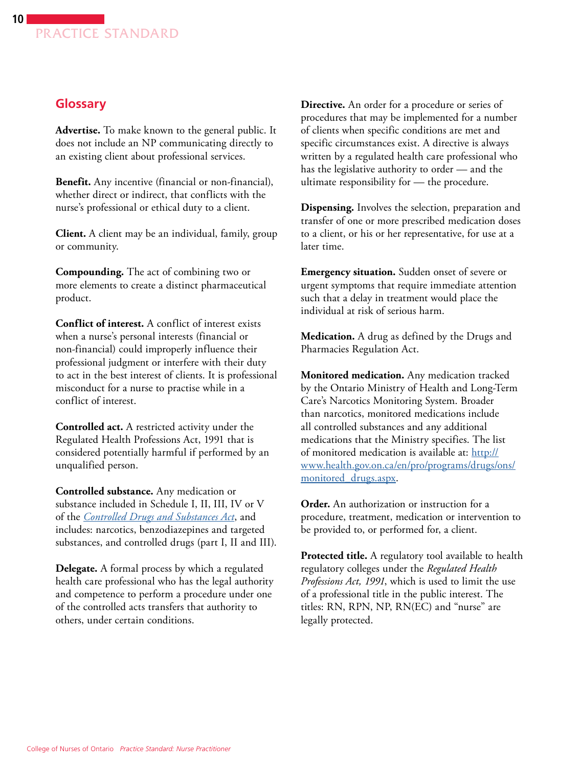### <span id="page-9-0"></span>**Glossary**

**Advertise.** To make known to the general public. It does not include an NP communicating directly to an existing client about professional services.

**Benefit.** Any incentive (financial or non-financial), whether direct or indirect, that conflicts with the nurse's professional or ethical duty to a client.

**Client.** A client may be an individual, family, group or community.

**Compounding.** The act of combining two or more elements to create a distinct pharmaceutical product.

**Conflict of interest.** A conflict of interest exists when a nurse's personal interests (financial or non-financial) could improperly influence their professional judgment or interfere with their duty to act in the best interest of clients. It is professional misconduct for a nurse to practise while in a conflict of interest.

**Controlled act.** A restricted activity under the Regulated Health Professions Act, 1991 that is considered potentially harmful if performed by an unqualified person.

**Controlled substance.** Any medication or substance included in Schedule I, II, III, IV or V of the *[Controlled Drugs and Substances Act](http://laws-lois.justice.gc.ca/PDF/C-38.8.pdf)*, and includes: narcotics, benzodiazepines and targeted substances, and controlled drugs (part I, II and III).

**Delegate.** A formal process by which a regulated health care professional who has the legal authority and competence to perform a procedure under one of the controlled acts transfers that authority to others, under certain conditions.

**Directive.** An order for a procedure or series of procedures that may be implemented for a number of clients when specific conditions are met and specific circumstances exist. A directive is always written by a regulated health care professional who has the legislative authority to order — and the ultimate responsibility for — the procedure.

**Dispensing.** Involves the selection, preparation and transfer of one or more prescribed medication doses to a client, or his or her representative, for use at a later time.

**Emergency situation.** Sudden onset of severe or urgent symptoms that require immediate attention such that a delay in treatment would place the individual at risk of serious harm.

**Medication.** A drug as defined by the Drugs and Pharmacies Regulation Act.

**Monitored medication.** Any medication tracked by the Ontario Ministry of Health and Long-Term Care's Narcotics Monitoring System. Broader than narcotics, monitored medications include all controlled substances and any additional medications that the Ministry specifies. The list of monitored medication is available at: [http://](http://www.health.gov.on.ca/en/pro/programs/drugs/ons/monitored_drugs.aspx)  [www.health.gov.on.ca/en/pro/programs/drugs/ons/](http://www.health.gov.on.ca/en/pro/programs/drugs/ons/monitored_drugs.aspx)  monitored\_drugs.aspx.

**Order.** An authorization or instruction for a procedure, treatment, medication or intervention to be provided to, or performed for, a client.

**Protected title.** A regulatory tool available to health regulatory colleges under the *Regulated Health Professions Act, 1991*, which is used to limit the use of a professional title in the public interest. The titles: RN, RPN, NP, RN(EC) and "nurse" are legally protected.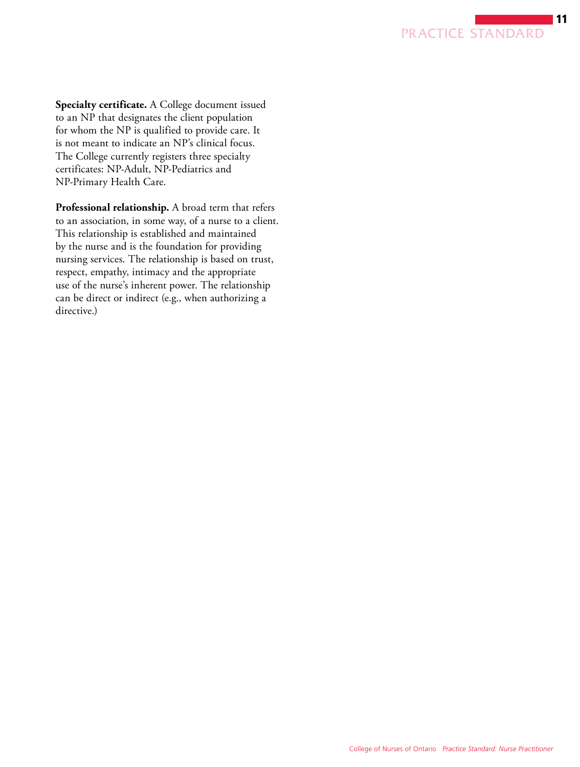

**Specialty certificate.** A College document issued to an NP that designates the client population for whom the NP is qualified to provide care. It is not meant to indicate an NP's clinical focus. The College currently registers three specialty certificates: NP-Adult, NP-Pediatrics and NP-Primary Health Care.

**Professional relationship.** A broad term that refers to an association, in some way, of a nurse to a client. This relationship is established and maintained by the nurse and is the foundation for providing nursing services. The relationship is based on trust, respect, empathy, intimacy and the appropriate use of the nurse's inherent power. The relationship can be direct or indirect (e.g., when authorizing a directive.)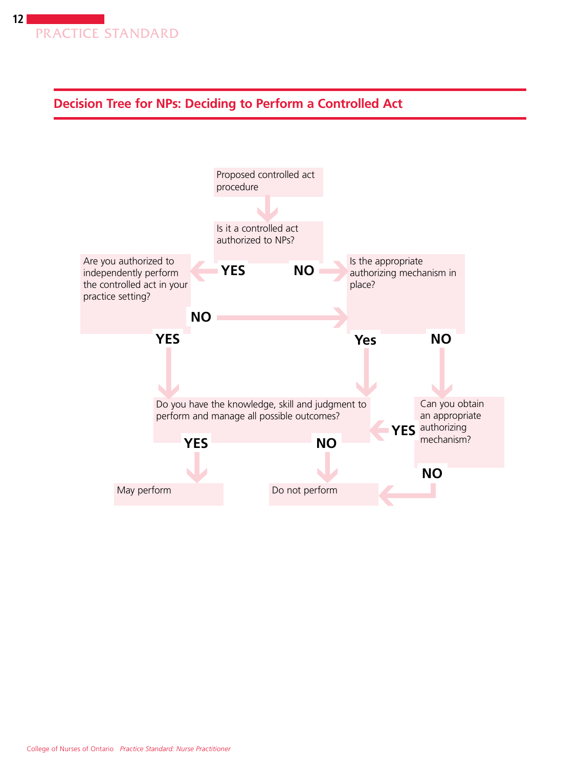<span id="page-11-0"></span>

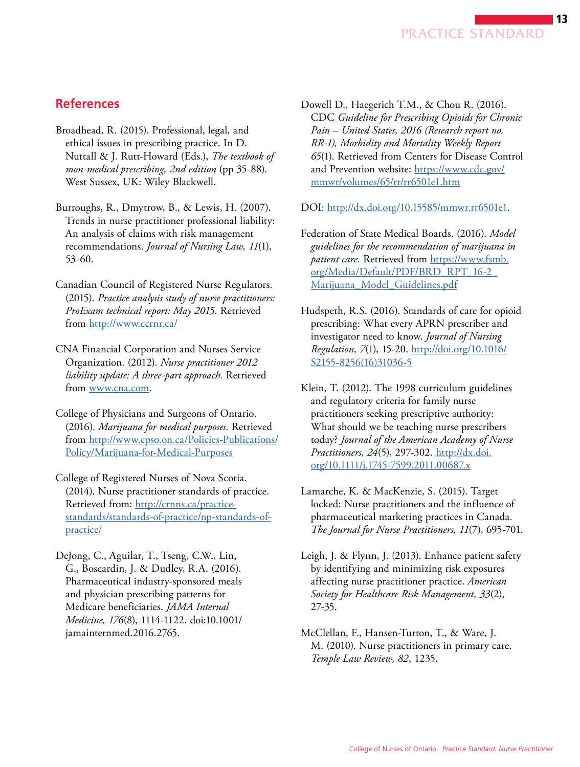# <span id="page-12-0"></span>**References**

- Broadhead, R. (2015). Professional, legal, and ethical issues in prescribing practice. In D. Nuttall & J. Rutt-Howard (Eds.), *The textbook of mon-medical prescribing, 2nd edition* (pp 35-88). West Sussex, UK: Wiley Blackwell.
- Burroughs, R., Dmytrow, B., & Lewis, H. (2007). Trends in nurse practitioner professional liability: An analysis of claims with risk management recommendations. *Journal of Nursing Law, 11*(1), 53-60.
- Canadian Council of Registered Nurse Regulators. (2015). *Practice analysis study of nurse practitioners: ProExam technical report: May 2015*. Retrieved from <http://www.ccrnr.ca/>
- CNA Financial Corporation and Nurses Service Organization. (2012). *Nurse practitioner 2012 liability update: A three-part approach.* Retrieved from [www.cna.com.](https://www.cna.com/web/guest/cna/home/!ut/p/b1/04_Sj9CPykssy0xPLMnMz0vMAfGjzOJNDLy9Q3xMQo2c_DwNDRz9_YGEn6lBqIkxUEEkUIEBDuBoQEi_l35Uek5-EtCqcP0ovIqDDaEK8Fjm55Gfm6pfkBtRGRyQrggAjaG6wQ!!/dl4/d5/L2dBISEvZ0FBIS9nQSEh/)
- College of Physicians and Surgeons of Ontario. (2016). *Marijuana for medical purposes.* Retrieved from http://www.cpso.on.ca/Policies-Publications/ [Policy/Marijuana-for-Medical-Purposes](http://www.cpso.on.ca/Policies-Publications/Policy/Marijuana-for-Medical-Purposes)
- College of Registered Nurses of Nova Scotia. (2014). Nurse practitioner standards of practice. Retrieved from: [http://crnns.ca/practice](http://crnns.ca/practice-standards/standards-of-practice/np-standards-of-practice/)[standards/standards-of-practice/np-standards-of](http://crnns.ca/practice-standards/standards-of-practice/np-standards-of-practice/)practice/
- DeJong, C., Aguilar, T., Tseng, C.W., Lin, G., Boscardin, J. & Dudley, R.A. (2016). Pharmaceutical industry-sponsored meals and physician prescribing patterns for Medicare beneficiaries. *JAMA Internal Medicine, 176*(8), 1114-1122. doi:10.1001/ jamainternmed.2016.2765.

Dowell D., Haegerich T.M., & Chou R. (2016). CDC *Guideline for Prescribing Opioids for Chronic Pain – United States, 2016 (Research report no. RR-1), Morbidity and Mortality Weekly Report 65*(1). Retrieved from Centers for Disease Control and Prevention website: [https://www.cdc.gov/](https://www.cdc.gov/mmwr/volumes/65/rr/rr6501e1.htm) [mmwr/volumes/65/rr/rr6501e1.htm](https://www.cdc.gov/mmwr/volumes/65/rr/rr6501e1.htm) 

DOI: [http://dx.doi.org/10.15585/mmwr.rr6501e1.](https://www.cdc.gov/mmwr/volumes/65/rr/rr6501e1.htm)

- Federation of State Medical Boards. (2016). *Model guidelines for the recommendation of marijuana in*  patient care. Retrieved from [https://www.fsmb.](https://www.fsmb.org/Media/Default/PDF/BRD_RPT_16-2_Marijuana_Model_Guidelines.pdf) [org/Media/Default/PDF/BRD\\_RPT\\_16-2\\_](https://www.fsmb.org/Media/Default/PDF/BRD_RPT_16-2_Marijuana_Model_Guidelines.pdf) Marijuana\_Model\_Guidelines.pdf
- Hudspeth, R.S. (2016). Standards of care for opioid prescribing: What every APRN prescriber and investigator need to know. *Journal of Nursing Regulation, 7*(1), 15-20. [http://doi.org/10.1016/](http://journalofnursingregulation.com/article/S2155-8256(16)31036-5/abstract)  [S2155-8256\(16\)31036-5](http://journalofnursingregulation.com/article/S2155-8256(16)31036-5/abstract)
- Klein, T. (2012). The 1998 curriculum guidelines and regulatory criteria for family nurse practitioners seeking prescriptive authority: What should we be teaching nurse prescribers today? *Journal of the American Academy of Nurse Practitioners, 24*(5), 297-302. [http://dx.doi.](http://onlinelibrary.wiley.com/doi/10.1111/j.1745-7599.2011.00687.x/abstract;jsessionid=415E6AEA1A39D7CD7FA839E6F33AEFA7.f04t01)  [org/10.1111/j.1745-7599.2011.00687.x](http://onlinelibrary.wiley.com/doi/10.1111/j.1745-7599.2011.00687.x/abstract;jsessionid=415E6AEA1A39D7CD7FA839E6F33AEFA7.f04t01)
- Lamarche, K. & MacKenzie, S. (2015). Target locked: Nurse practitioners and the influence of pharmaceutical marketing practices in Canada. *The Journal for Nurse Practitioners, 11*(7), 695-701.
- Leigh, J. & Flynn, J. (2013). Enhance patient safety by identifying and minimizing risk exposures affecting nurse practitioner practice. *American Society for Healthcare Risk Management, 33*(2), 27-35.
- McClellan, F., Hansen-Turton, T., & Ware, J. M. (2010). Nurse practitioners in primary care. *Temple Law Review, 82*, 1235.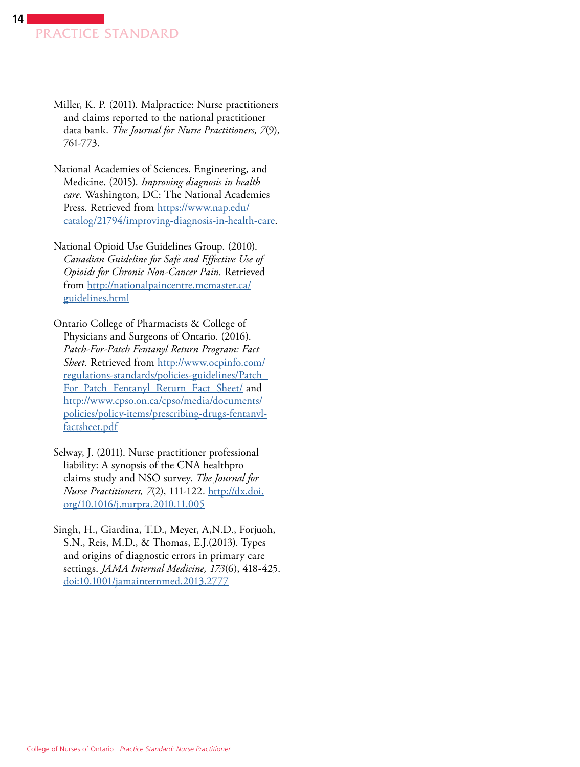- 761-773. Miller, K. P. (2011). Malpractice: Nurse practitioners and claims reported to the national practitioner data bank. *The Journal for Nurse Practitioners, 7*(9),
- National Academies of Sciences, Engineering, and Medicine. (2015). *Improving diagnosis in health care*. Washington, DC: The National Academies Press. Retrieved from [https://www.nap.edu/](https://www.nap.edu/catalog/21794/improving-diagnosis-in-health-care)  [catalog/21794/improving-diagnosis-in-health-care](https://www.nap.edu/catalog/21794/improving-diagnosis-in-health-care).
- National Opioid Use Guidelines Group. (2010). *Canadian Guideline for Safe and Effective Use of Opioids for Chronic Non-Cancer Pain.* Retrieved from [http://nationalpaincentre.mcmaster.ca/](http://nationalpaincentre.mcmaster.ca/guidelines.html) [guidelines.html](http://nationalpaincentre.mcmaster.ca/guidelines.html)
- Ontario College of Pharmacists & College of Physicians and Surgeons of Ontario. (2016). *Patch-For-Patch Fentanyl Return Program: Fact Sheet.* Retrieved from [http://www.ocpinfo.com/](http://www.ocpinfo.com/regulations-standards/policies-guidelines/Patch_For_Patch_Fentanyl_Return_Fact_Sheet/)  [regulations-standards/policies-guidelines/Patch\\_](http://www.ocpinfo.com/regulations-standards/policies-guidelines/Patch_For_Patch_Fentanyl_Return_Fact_Sheet/) For Patch\_Fentanyl\_Return\_Fact\_Sheet/ and [http://www.cpso.on.ca/cpso/media/documents/](http://www.cpso.on.ca/cpso/media/documents/policies/policy-items/prescribing-drugs-fentanyl-factsheet.pdf)  policies/policy-items/prescribing-drugs-fentanylfactsheet.pdf
- Selway, J. (2011). Nurse practitioner professional liability: A synopsis of the CNA healthpro claims study and NSO survey. *The Journal for Nurse Practitioners, 7*(2), 111-122. [http://dx.doi.](http://www.npjournal.org/article/S1555-4155(10)00536-2/abstract)  [org/10.1016/j.nurpra.2010.11.005](http://www.npjournal.org/article/S1555-4155(10)00536-2/abstract)
- Singh, H., Giardina, T.D., Meyer, A,N.D., Forjuoh, S.N., Reis, M.D., & Thomas, E.J.(2013). Types and origins of diagnostic errors in primary care settings. *JAMA Internal Medicine, 173*(6), 418-425. doi:10.1001/jamainternmed.2013.2777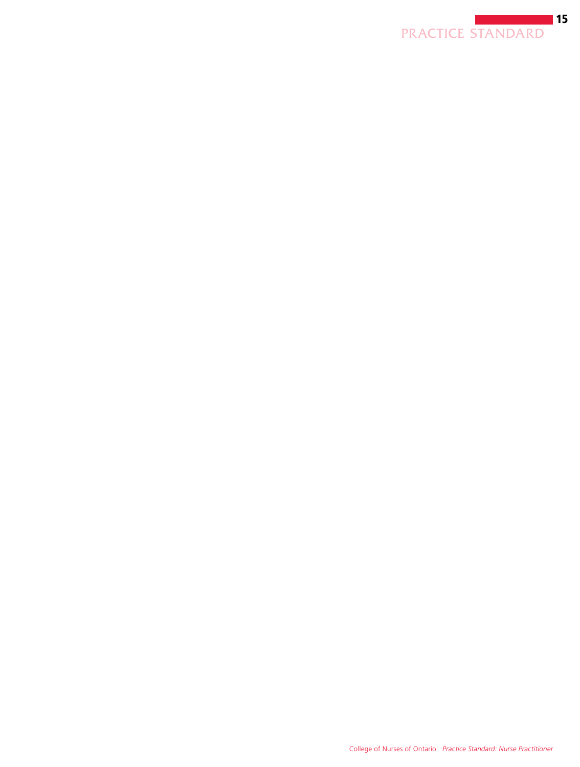